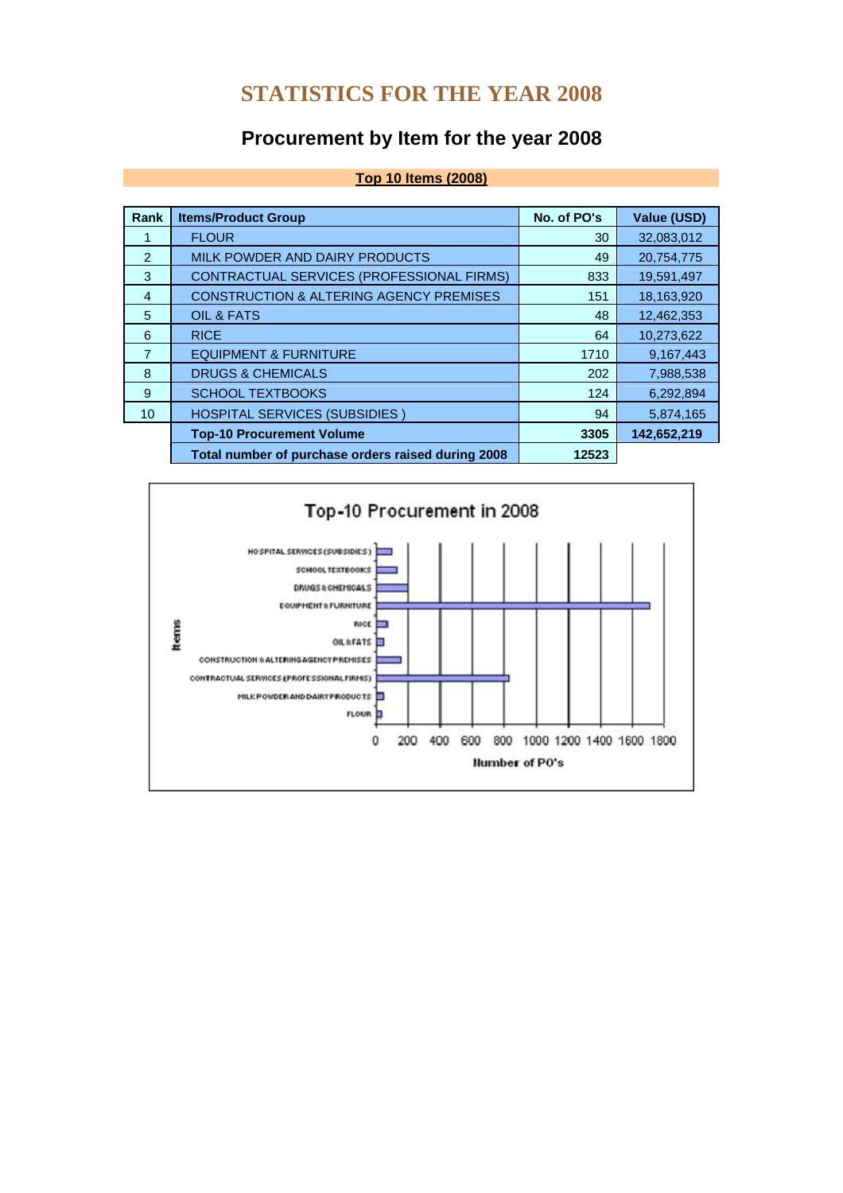## **STATISTICS FOR THE YEAR 2008**

# **Procurement by Item for the year 2008**

**Top 10 Items (2008)**

| Rank           | <b>Items/Product Group</b>                         | No. of PO's | <b>Value (USD)</b> |
|----------------|----------------------------------------------------|-------------|--------------------|
|                | <b>FLOUR</b>                                       | 30          | 32,083,012         |
| $\mathcal{P}$  | MILK POWDER AND DAIRY PRODUCTS                     | 49          | 20,754,775         |
| 3              | CONTRACTUAL SERVICES (PROFESSIONAL FIRMS)          | 833         | 19,591,497         |
| $\overline{4}$ | <b>CONSTRUCTION &amp; ALTERING AGENCY PREMISES</b> | 151         | 18,163,920         |
| 5              | OIL & FATS                                         | 48          | 12,462,353         |
| 6              | <b>RICE</b>                                        | 64          | 10,273,622         |
| $\overline{7}$ | <b>EQUIPMENT &amp; FURNITURE</b>                   | 1710        | 9,167,443          |
| 8              | <b>DRUGS &amp; CHEMICALS</b>                       | 202         | 7,988,538          |
| 9              | <b>SCHOOL TEXTBOOKS</b>                            | 124         | 6,292,894          |
| 10             | <b>HOSPITAL SERVICES (SUBSIDIES)</b>               | 94          | 5,874,165          |
|                | <b>Top-10 Procurement Volume</b>                   | 3305        | 142,652,219        |
|                | Total number of purchase orders raised during 2008 | 12523       |                    |

### Top-10 Procurement in 2008 HOSPITAL SERVICES (SUBSIDIES) SCHOOL TEXTBOOKS DRUGS & CHEMICALS EQUIPMENT & FURNITURE Items RICE<sup>T</sup> OIL REATS CONSTRUCTION & ALTERING AGENCY PREMISES CONTRACTUAL SERVICES (PROFESSIONAL FIRMS) MILK POWDER AND DAIRY PRODUCTS **FLOUR**  $\mathbf{0}$ 200 400 600 800 1000 1200 1400 1600 1800 **Humber of PO's**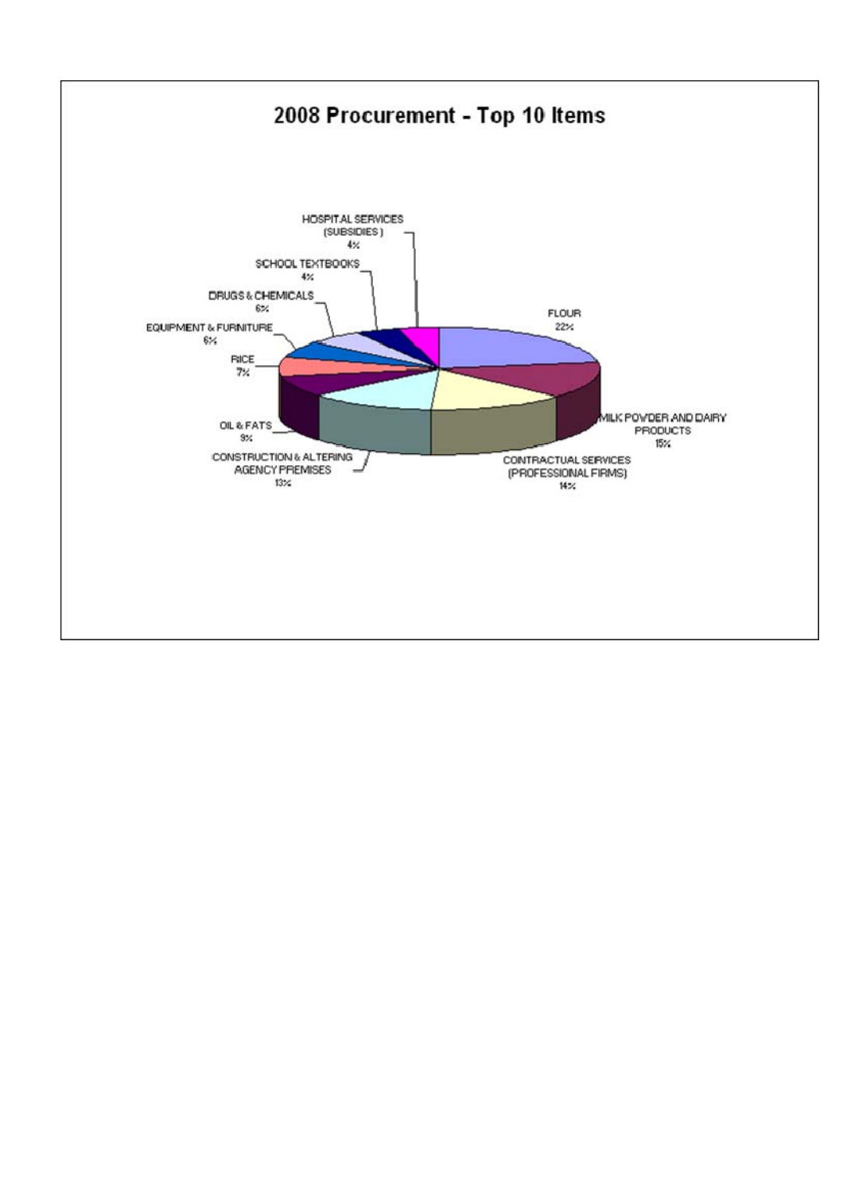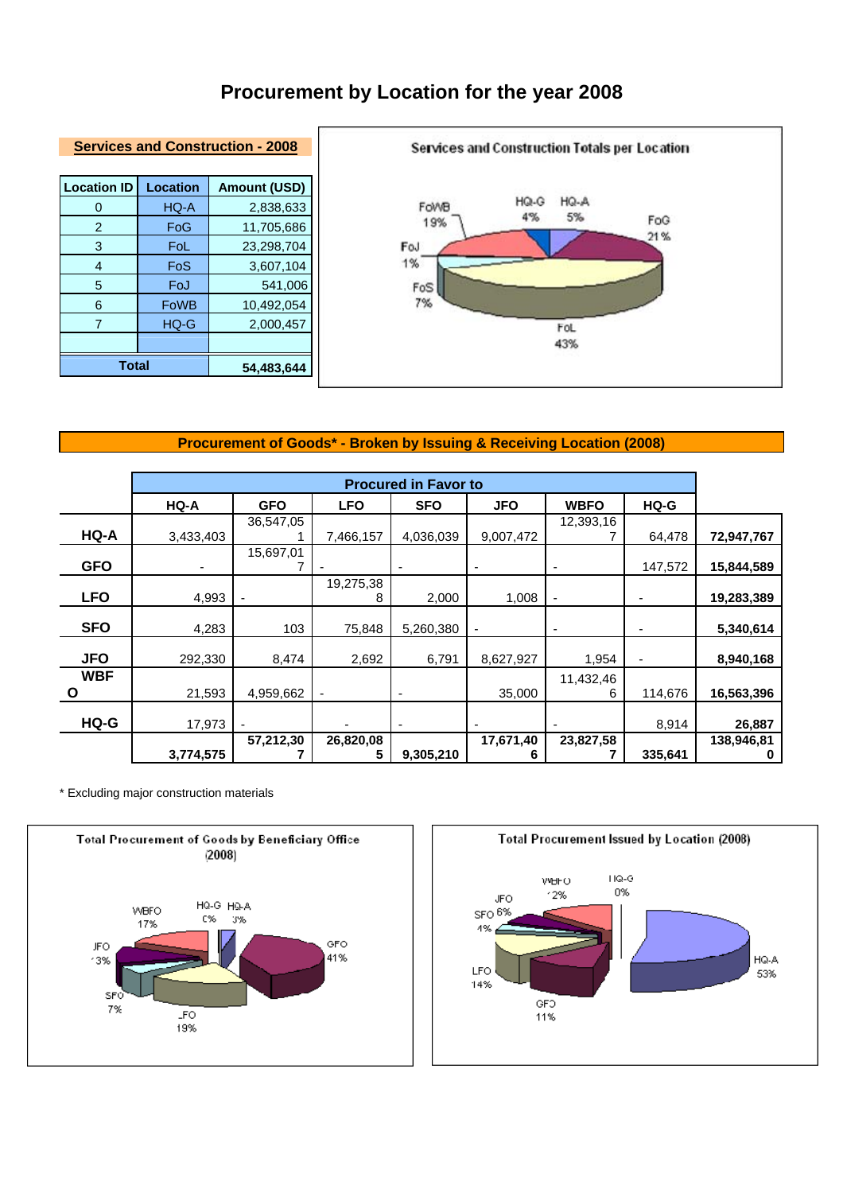# **Procurement by Location for the year 2008**



#### **Services and Construction - 2008**

| <b>Location ID</b> | <b>Location</b> | <b>Amount (USD)</b> |
|--------------------|-----------------|---------------------|
| 0                  | HQ-A            | 2,838,633           |
| 2                  | FoG             | 11,705,686          |
| 3                  | FoL             | 23,298,704          |
| 4                  | FoS             | 3,607,104           |
| 5                  | FoJ             | 541,006             |
| 6                  | <b>FoWB</b>     | 10,492,054          |
| 7                  | HQ-G            | 2,000,457           |
|                    |                 |                     |
| <b>Total</b>       |                 | 54,483,644          |

### **Procurement of Goods\* - Broken by Issuing & Receiving Location (2008)**

|            | <b>Procured in Favor to</b> |            |                          |                          |                          |                          |         |            |
|------------|-----------------------------|------------|--------------------------|--------------------------|--------------------------|--------------------------|---------|------------|
|            | HQ-A                        | <b>GFO</b> | <b>LFO</b>               | <b>SFO</b>               | <b>JFO</b>               | <b>WBFO</b>              | HQ-G    |            |
|            |                             | 36,547,05  |                          |                          |                          | 12,393,16                |         |            |
| HQ-A       | 3,433,403                   |            | 7,466,157                | 4,036,039                | 9,007,472                |                          | 64,478  | 72,947,767 |
| <b>GFO</b> |                             | 15,697,01  |                          |                          |                          |                          | 147,572 |            |
|            |                             |            |                          | $\overline{a}$           |                          | ۰                        |         | 15,844,589 |
| <b>LFO</b> | 4,993                       | ٠          | 19,275,38<br>8           | 2,000                    | 1,008                    | $\overline{\phantom{a}}$ |         | 19,283,389 |
| <b>SFO</b> | 4,283                       | 103        | 75,848                   | 5,260,380                | $\overline{\phantom{a}}$ | ۰                        |         | 5,340,614  |
| <b>JFO</b> | 292,330                     | 8,474      | 2,692                    | 6,791                    | 8,627,927                | 1,954                    |         | 8,940,168  |
| <b>WBF</b> |                             |            |                          |                          |                          | 11,432,46                |         |            |
| O          | 21,593                      | 4,959,662  | $\overline{\phantom{a}}$ |                          | 35,000                   | 6                        | 114,676 | 16,563,396 |
| HQ-G       | 17,973                      |            |                          | $\overline{\phantom{0}}$ |                          | ٠                        | 8,914   | 26,887     |
|            |                             | 57,212,30  | 26,820,08                |                          | 17,671,40                | 23,827,58                |         | 138,946,81 |
|            | 3,774,575                   |            | 5                        | 9,305,210                | 6                        |                          | 335,641 |            |

\* Excluding major construction materials